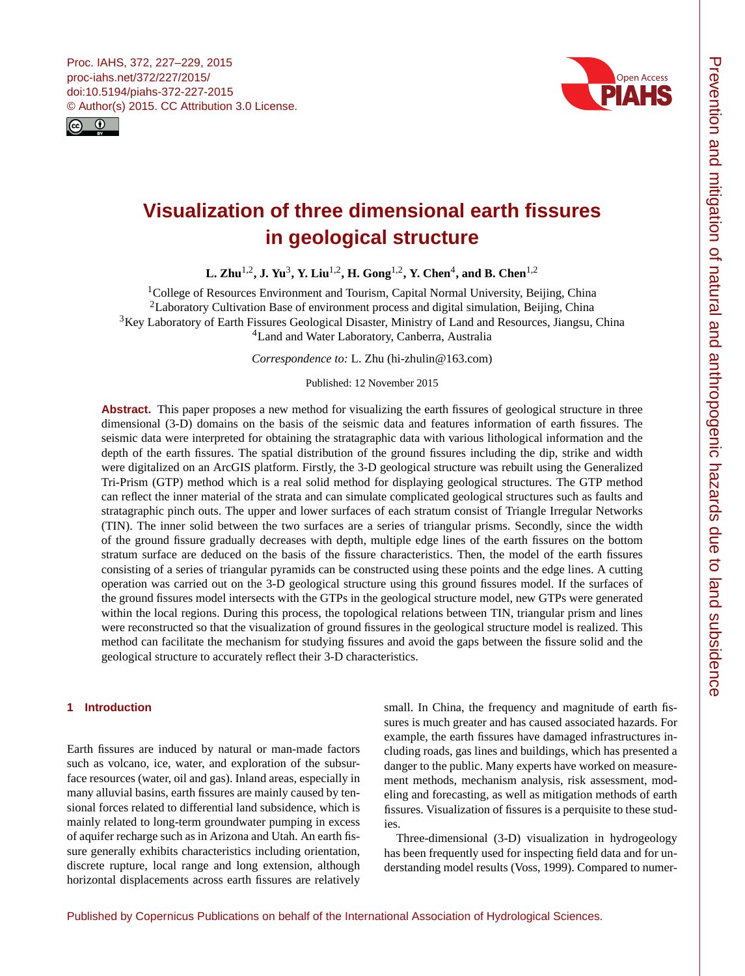<span id="page-0-1"></span>



# **Visualization of three dimensional earth fissures in geological structure**

**L. Zhu<sup>[1,2](#page-0-0)</sup>, J. Yu<sup>[3](#page-0-0)</sup>, Y. Liu<sup>1,2</sup>, H. Gong<sup>1,2</sup>, Y. Chen<sup>[4](#page-0-0)</sup>, and B. Chen<sup>1,2</sup>** 

<sup>1</sup>College of Resources Environment and Tourism, Capital Normal University, Beijing, China <sup>2</sup>Laboratory Cultivation Base of environment process and digital simulation, Beijing, China <sup>3</sup>Key Laboratory of Earth Fissures Geological Disaster, Ministry of Land and Resources, Jiangsu, China <sup>4</sup>Land and Water Laboratory, Canberra, Australia

*Correspondence to:* L. Zhu (hi-zhulin@163.com)

Published: 12 November 2015

Abstract. This paper proposes a new method for visualizing the earth fissures of geological structure in three dimensional (3-D) domains on the basis of the seismic data and features information of earth fissures. The seismic data were interpreted for obtaining the stratagraphic data with various lithological information and the depth of the earth fissures. The spatial distribution of the ground fissures including the dip, strike and width were digitalized on an ArcGIS platform. Firstly, the 3-D geological structure was rebuilt using the Generalized Tri-Prism (GTP) method which is a real solid method for displaying geological structures. The GTP method can reflect the inner material of the strata and can simulate complicated geological structures such as faults and stratagraphic pinch outs. The upper and lower surfaces of each stratum consist of Triangle Irregular Networks (TIN). The inner solid between the two surfaces are a series of triangular prisms. Secondly, since the width of the ground fissure gradually decreases with depth, multiple edge lines of the earth fissures on the bottom stratum surface are deduced on the basis of the fissure characteristics. Then, the model of the earth fissures consisting of a series of triangular pyramids can be constructed using these points and the edge lines. A cutting operation was carried out on the 3-D geological structure using this ground fissures model. If the surfaces of the ground fissures model intersects with the GTPs in the geological structure model, new GTPs were generated within the local regions. During this process, the topological relations between TIN, triangular prism and lines were reconstructed so that the visualization of ground fissures in the geological structure model is realized. This method can facilitate the mechanism for studying fissures and avoid the gaps between the fissure solid and the geological structure to accurately reflect their 3-D characteristics.

## <span id="page-0-0"></span>**1 Introduction**

Earth fissures are induced by natural or man-made factors such as volcano, ice, water, and exploration of the subsurface resources (water, oil and gas). Inland areas, especially in many alluvial basins, earth fissures are mainly caused by tensional forces related to differential land subsidence, which is mainly related to long-term groundwater pumping in excess of aquifer recharge such as in Arizona and Utah. An earth fissure generally exhibits characteristics including orientation, discrete rupture, local range and long extension, although horizontal displacements across earth fissures are relatively small. In China, the frequency and magnitude of earth fissures is much greater and has caused associated hazards. For example, the earth fissures have damaged infrastructures including roads, gas lines and buildings, which has presented a danger to the public. Many experts have worked on measurement methods, mechanism analysis, risk assessment, modeling and forecasting, as well as mitigation methods of earth fissures. Visualization of fissures is a perquisite to these studies.

Three-dimensional (3-D) visualization in hydrogeology has been frequently used for inspecting field data and for understanding model results (Voss, 1999). Compared to numer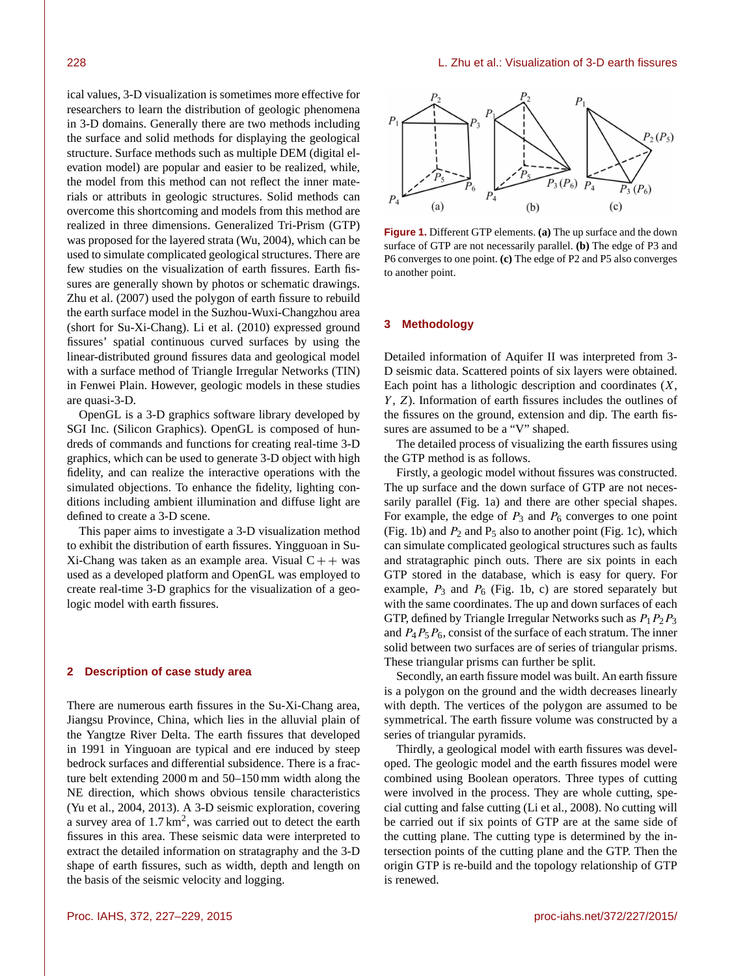ical values, 3-D visualization is sometimes more effective for researchers to learn the distribution of geologic phenomena in 3-D domains. Generally there are two methods including the surface and solid methods for displaying the geological structure. Surface methods such as multiple DEM (digital elevation model) are popular and easier to be realized, while, the model from this method can not reflect the inner materials or attributs in geologic structures. Solid methods can overcome this shortcoming and models from this method are realized in three dimensions. Generalized Tri-Prism (GTP) was proposed for the layered strata (Wu, 2004), which can be used to simulate complicated geological structures. There are few studies on the visualization of earth fissures. Earth fissures are generally shown by photos or schematic drawings. Zhu et al. (2007) used the polygon of earth fissure to rebuild the earth surface model in the Suzhou-Wuxi-Changzhou area (short for Su-Xi-Chang). Li et al. (2010) expressed ground fissures' spatial continuous curved surfaces by using the linear-distributed ground fissures data and geological model with a surface method of Triangle Irregular Networks (TIN) in Fenwei Plain. However, geologic models in these studies are quasi-3-D.

OpenGL is a 3-D graphics software library developed by SGI Inc. (Silicon Graphics). OpenGL is composed of hundreds of commands and functions for creating real-time 3-D graphics, which can be used to generate 3-D object with high fidelity, and can realize the interactive operations with the simulated objections. To enhance the fidelity, lighting conditions including ambient illumination and diffuse light are defined to create a 3-D scene.

This paper aims to investigate a 3-D visualization method to exhibit the distribution of earth fissures. Yingguoan in Su-Xi-Chang was taken as an example area. Visual  $C++$  was used as a developed platform and OpenGL was employed to create real-time 3-D graphics for the visualization of a geologic model with earth fissures.

#### **2 Description of case study area**

There are numerous earth fissures in the Su-Xi-Chang area, Jiangsu Province, China, which lies in the alluvial plain of the Yangtze River Delta. The earth fissures that developed in 1991 in Yinguoan are typical and ere induced by steep bedrock surfaces and differential subsidence. There is a fracture belt extending 2000 m and 50–150 mm width along the NE direction, which shows obvious tensile characteristics (Yu et al., 2004, 2013). A 3-D seismic exploration, covering a survey area of  $1.7 \text{ km}^2$ , was carried out to detect the earth fissures in this area. These seismic data were interpreted to extract the detailed information on stratagraphy and the 3-D shape of earth fissures, such as width, depth and length on the basis of the seismic velocity and logging.



**Figure 1.** Different GTP elements. **(a)** The up surface and the down surface of GTP are not necessarily parallel. **(b)** The edge of P3 and P6 converges to one point. **(c)** The edge of P2 and P5 also converges to another point.

#### **3 Methodology**

Detailed information of Aquifer II was interpreted from 3- D seismic data. Scattered points of six layers were obtained. Each point has a lithologic description and coordinates  $(X, \mathcal{L})$  $Y$ ,  $Z$ ). Information of earth fissures includes the outlines of the fissures on the ground, extension and dip. The earth fissures are assumed to be a "V" shaped.

The detailed process of visualizing the earth fissures using the GTP method is as follows.

Firstly, a geologic model without fissures was constructed. The up surface and the down surface of GTP are not necessarily parallel (Fig. 1a) and there are other special shapes. For example, the edge of  $P_3$  and  $P_6$  converges to one point (Fig. 1b) and  $P_2$  and  $P_5$  also to another point (Fig. 1c), which can simulate complicated geological structures such as faults and stratagraphic pinch outs. There are six points in each GTP stored in the database, which is easy for query. For example,  $P_3$  and  $P_6$  (Fig. 1b, c) are stored separately but with the same coordinates. The up and down surfaces of each GTP, defined by Triangle Irregular Networks such as  $P_1P_2P_3$ and  $P_4P_5P_6$ , consist of the surface of each stratum. The inner solid between two surfaces are of series of triangular prisms. These triangular prisms can further be split.

Secondly, an earth fissure model was built. An earth fissure is a polygon on the ground and the width decreases linearly with depth. The vertices of the polygon are assumed to be symmetrical. The earth fissure volume was constructed by a series of triangular pyramids.

Thirdly, a geological model with earth fissures was developed. The geologic model and the earth fissures model were combined using Boolean operators. Three types of cutting were involved in the process. They are whole cutting, special cutting and false cutting (Li et al., 2008). No cutting will be carried out if six points of GTP are at the same side of the cutting plane. The cutting type is determined by the intersection points of the cutting plane and the GTP. Then the origin GTP is re-build and the topology relationship of GTP is renewed.